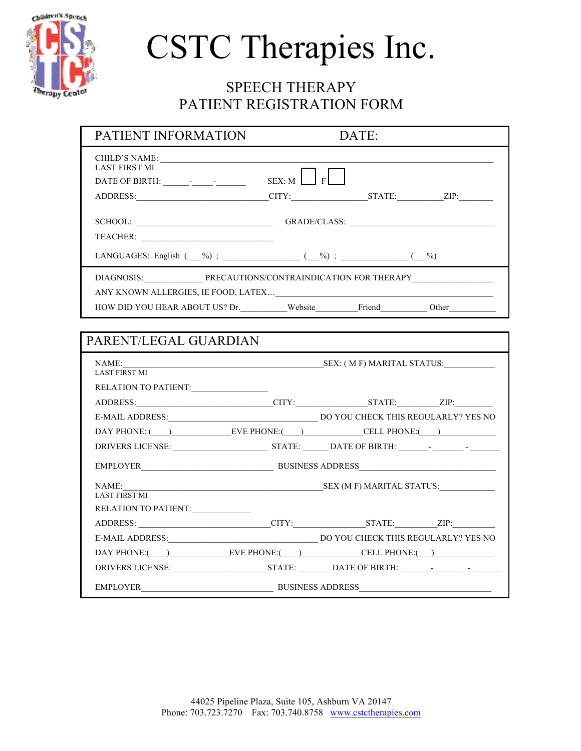

# SPEECH THERAPY PATIENT REGISTRATION FORM

| PATIENT INFORMATION                                                            |                    | DATE:                                                                             |
|--------------------------------------------------------------------------------|--------------------|-----------------------------------------------------------------------------------|
| CHILD'S NAME: VALUE AND PRODUCED AND THE CHILD'S NAME:<br><b>LAST FIRST MI</b> | $SEX$ : M $\Box$ F | ADDRESS:___________________________CITY:______________STATE:__________ZIP:_______ |
|                                                                                |                    | SCHOOL: GRADE/CLASS: CHOOL:                                                       |
|                                                                                |                    |                                                                                   |
| LANGUAGES: English $($ _9); $($ $_9)$ ; $($ $_9)$ ; $($ $_9)$ ; $($ $_9)$      |                    |                                                                                   |
|                                                                                |                    |                                                                                   |
|                                                                                |                    |                                                                                   |
|                                                                                |                    | HOW DID YOU HEAR ABOUT US? Dr. Website_entries Friend_entries Other______________ |
|                                                                                |                    |                                                                                   |
| PARENT/LEGAL GUARDIAN                                                          |                    |                                                                                   |
| NAME:<br><b>LAST FIRST MI</b>                                                  |                    |                                                                                   |
| RELATION TO PATIENT:                                                           |                    |                                                                                   |
|                                                                                |                    | ADDRESS: CITY: STATE: ZIP:                                                        |
|                                                                                |                    |                                                                                   |
|                                                                                |                    | DAY PHONE: ( ) EVE PHONE: ( ) CELL PHONE: ( )                                     |
|                                                                                |                    |                                                                                   |
|                                                                                |                    |                                                                                   |
| NAME:                                                                          |                    | <b>SEX (M F) MARITAL STATUS:</b>                                                  |
| LAST FIRST MI                                                                  |                    |                                                                                   |
| RELATION TO PATIENT:                                                           |                    |                                                                                   |
|                                                                                |                    |                                                                                   |
|                                                                                |                    |                                                                                   |
|                                                                                |                    | DAY PHONE:( <u>U)</u> EVE PHONE:(U) CELL PHONE:(U)                                |
|                                                                                |                    |                                                                                   |
|                                                                                |                    | EMPLOYER BUSINESS ADDRESS BUSINESS ADDRESS                                        |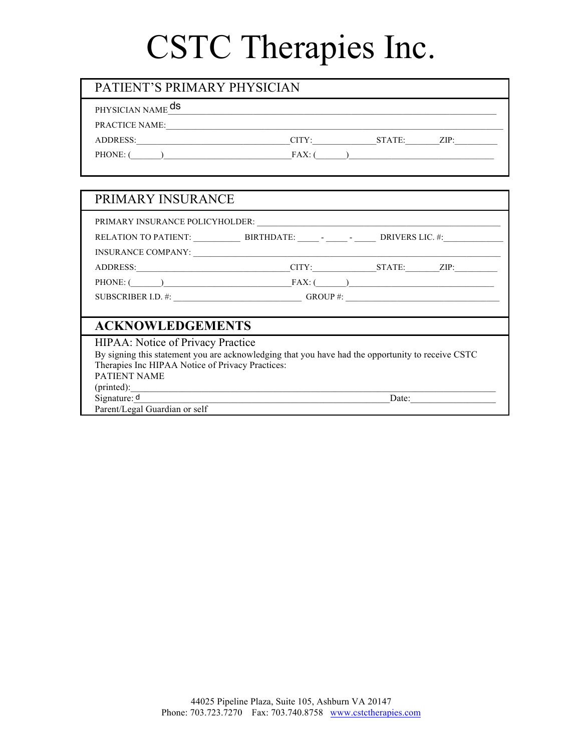| PATIENT'S PRIMARY PHYSICIAN  |       |        |      |
|------------------------------|-------|--------|------|
| PHYSICIAN NAME <sup>ds</sup> |       |        |      |
| <b>PRACTICE NAME:</b>        |       |        |      |
| <b>ADDRESS:</b>              | CITY: | STATE: | ZIP: |
| PHONE:                       | FAX:  |        |      |

| PRIMARY INSURANCE                                                                                                                                                                                                              |                                                                                           |       |
|--------------------------------------------------------------------------------------------------------------------------------------------------------------------------------------------------------------------------------|-------------------------------------------------------------------------------------------|-------|
|                                                                                                                                                                                                                                |                                                                                           |       |
|                                                                                                                                                                                                                                |                                                                                           |       |
|                                                                                                                                                                                                                                |                                                                                           |       |
| ADDRESS: New York Contract of the Contract of the Contract of the Contract of the Contract of the Contract of the Contract of the Contract of the Contract of the Contract of the Contract of the Contract of the Contract of  |                                                                                           |       |
| PHONE: $\begin{pmatrix} 1 & 1 & 1 \end{pmatrix}$                                                                                                                                                                               |                                                                                           |       |
| SUBSCRIBER I.D. #: _________________________________GROUP #: ____________________                                                                                                                                              |                                                                                           |       |
|                                                                                                                                                                                                                                |                                                                                           |       |
| <b>ACKNOWLEDGEMENTS</b>                                                                                                                                                                                                        |                                                                                           |       |
| HIPAA: Notice of Privacy Practice                                                                                                                                                                                              |                                                                                           |       |
| By signing this statement you are acknowledging that you have had the opportunity to receive CSTC                                                                                                                              |                                                                                           |       |
| Therapies Inc HIPAA Notice of Privacy Practices:                                                                                                                                                                               |                                                                                           |       |
| <b>PATIENT NAME</b>                                                                                                                                                                                                            |                                                                                           |       |
| (printed): example and the contract of the contract of the contract of the contract of the contract of the contract of the contract of the contract of the contract of the contract of the contract of the contract of the con |                                                                                           |       |
| Signature: $d$                                                                                                                                                                                                                 | the control of the control of the control of the control of the control of the control of | Date: |
| Parent/Legal Guardian or self                                                                                                                                                                                                  |                                                                                           |       |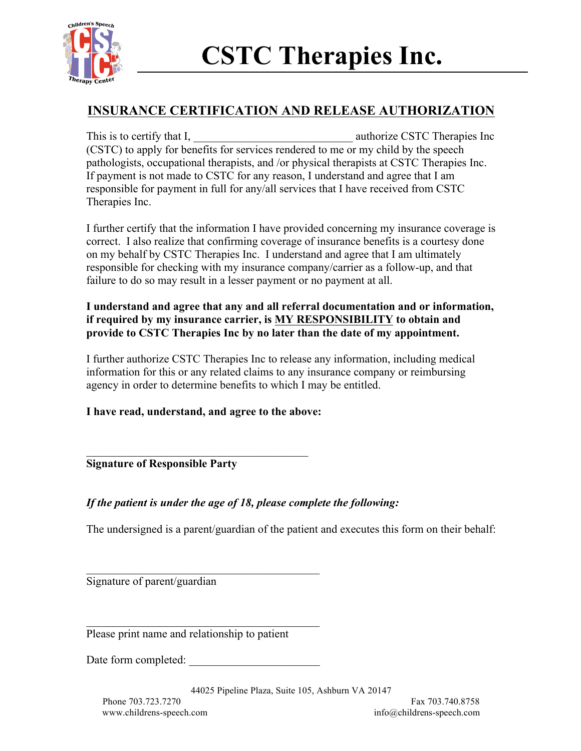

## **INSURANCE CERTIFICATION AND RELEASE AUTHORIZATION**

This is to certify that I, the same state of the surface CSTC Therapies Inc (CSTC) to apply for benefits for services rendered to me or my child by the speech pathologists, occupational therapists, and /or physical therapists at CSTC Therapies Inc. If payment is not made to CSTC for any reason, I understand and agree that I am responsible for payment in full for any/all services that I have received from CSTC Therapies Inc.

I further certify that the information I have provided concerning my insurance coverage is correct. I also realize that confirming coverage of insurance benefits is a courtesy done on my behalf by CSTC Therapies Inc. I understand and agree that I am ultimately responsible for checking with my insurance company/carrier as a follow-up, and that failure to do so may result in a lesser payment or no payment at all.

### **I understand and agree that any and all referral documentation and or information, if required by my insurance carrier, is MY RESPONSIBILITY to obtain and provide to CSTC Therapies Inc by no later than the date of my appointment.**

I further authorize CSTC Therapies Inc to release any information, including medical information for this or any related claims to any insurance company or reimbursing agency in order to determine benefits to which I may be entitled.

**I have read, understand, and agree to the above:** 

 $\mathcal{L}_\text{max}$  , and the set of the set of the set of the set of the set of the set of the set of the set of the set of the set of the set of the set of the set of the set of the set of the set of the set of the set of the

### **Signature of Responsible Party**

### *If the patient is under the age of 18, please complete the following:*

The undersigned is a parent/guardian of the patient and executes this form on their behalf:

Signature of parent/guardian

Please print name and relationship to patient

\_\_\_\_\_\_\_\_\_\_\_\_\_\_\_\_\_\_\_\_\_\_\_\_\_\_\_\_\_\_\_\_\_\_\_\_\_\_\_\_\_

\_\_\_\_\_\_\_\_\_\_\_\_\_\_\_\_\_\_\_\_\_\_\_\_\_\_\_\_\_\_\_\_\_\_\_\_\_\_\_\_\_

Date form completed: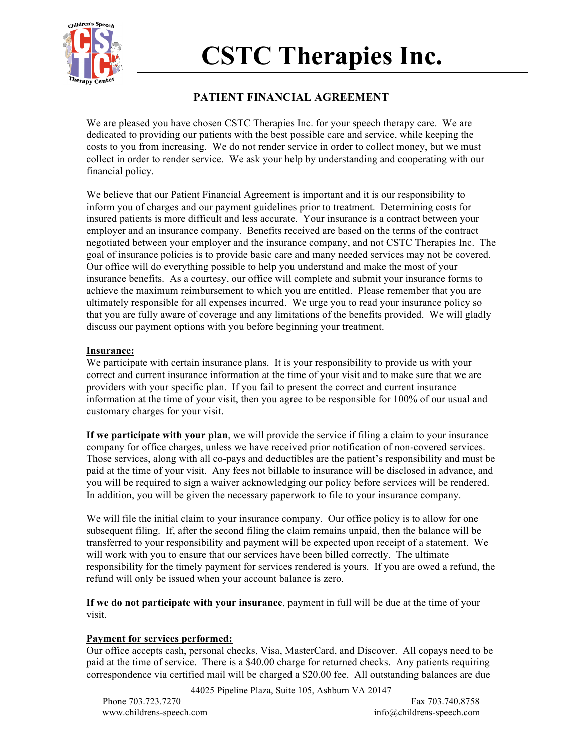

### **PATIENT FINANCIAL AGREEMENT**

We are pleased you have chosen CSTC Therapies Inc. for your speech therapy care. We are dedicated to providing our patients with the best possible care and service, while keeping the costs to you from increasing. We do not render service in order to collect money, but we must collect in order to render service. We ask your help by understanding and cooperating with our financial policy.

We believe that our Patient Financial Agreement is important and it is our responsibility to inform you of charges and our payment guidelines prior to treatment. Determining costs for insured patients is more difficult and less accurate. Your insurance is a contract between your employer and an insurance company. Benefits received are based on the terms of the contract negotiated between your employer and the insurance company, and not CSTC Therapies Inc. The goal of insurance policies is to provide basic care and many needed services may not be covered. Our office will do everything possible to help you understand and make the most of your insurance benefits. As a courtesy, our office will complete and submit your insurance forms to achieve the maximum reimbursement to which you are entitled. Please remember that you are ultimately responsible for all expenses incurred. We urge you to read your insurance policy so that you are fully aware of coverage and any limitations of the benefits provided. We will gladly discuss our payment options with you before beginning your treatment.

#### **Insurance:**

We participate with certain insurance plans. It is your responsibility to provide us with your correct and current insurance information at the time of your visit and to make sure that we are providers with your specific plan. If you fail to present the correct and current insurance information at the time of your visit, then you agree to be responsible for 100% of our usual and customary charges for your visit.

**If we participate with your plan**, we will provide the service if filing a claim to your insurance company for office charges, unless we have received prior notification of non-covered services. Those services, along with all co-pays and deductibles are the patient's responsibility and must be paid at the time of your visit. Any fees not billable to insurance will be disclosed in advance, and you will be required to sign a waiver acknowledging our policy before services will be rendered. In addition, you will be given the necessary paperwork to file to your insurance company.

We will file the initial claim to your insurance company. Our office policy is to allow for one subsequent filing. If, after the second filing the claim remains unpaid, then the balance will be transferred to your responsibility and payment will be expected upon receipt of a statement. We will work with you to ensure that our services have been billed correctly. The ultimate responsibility for the timely payment for services rendered is yours. If you are owed a refund, the refund will only be issued when your account balance is zero.

**If we do not participate with your insurance**, payment in full will be due at the time of your visit.

### **Payment for services performed:**

Our office accepts cash, personal checks, Visa, MasterCard, and Discover. All copays need to be paid at the time of service. There is a \$40.00 charge for returned checks. Any patients requiring correspondence via certified mail will be charged a \$20.00 fee. All outstanding balances are due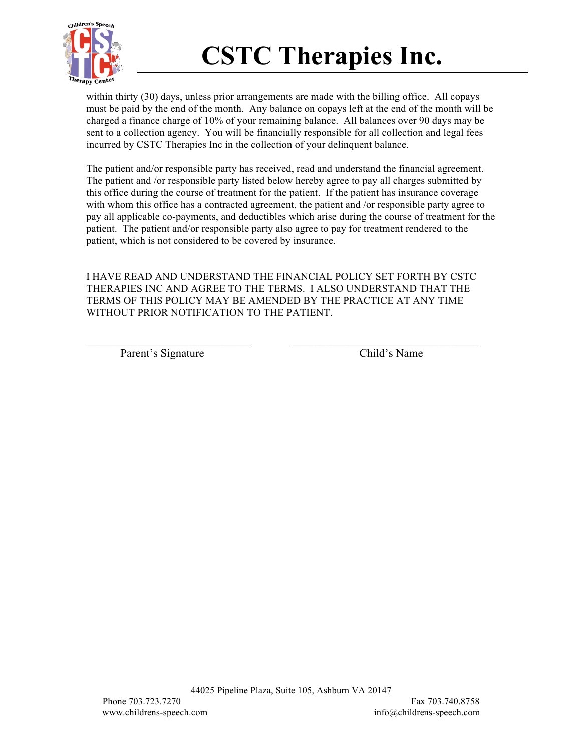

within thirty (30) days, unless prior arrangements are made with the billing office. All copays must be paid by the end of the month. Any balance on copays left at the end of the month will be charged a finance charge of 10% of your remaining balance. All balances over 90 days may be sent to a collection agency. You will be financially responsible for all collection and legal fees incurred by CSTC Therapies Inc in the collection of your delinquent balance.

The patient and/or responsible party has received, read and understand the financial agreement. The patient and /or responsible party listed below hereby agree to pay all charges submitted by this office during the course of treatment for the patient. If the patient has insurance coverage with whom this office has a contracted agreement, the patient and /or responsible party agree to pay all applicable co-payments, and deductibles which arise during the course of treatment for the patient. The patient and/or responsible party also agree to pay for treatment rendered to the patient, which is not considered to be covered by insurance.

I HAVE READ AND UNDERSTAND THE FINANCIAL POLICY SET FORTH BY CSTC THERAPIES INC AND AGREE TO THE TERMS. I ALSO UNDERSTAND THAT THE TERMS OF THIS POLICY MAY BE AMENDED BY THE PRACTICE AT ANY TIME WITHOUT PRIOR NOTIFICATION TO THE PATIENT.

 $\mathcal{L}_\text{max} = \frac{1}{2} \sum_{i=1}^n \mathcal{L}_\text{max}(\mathbf{x}_i - \mathbf{y}_i)$ 

Parent's Signature Child's Name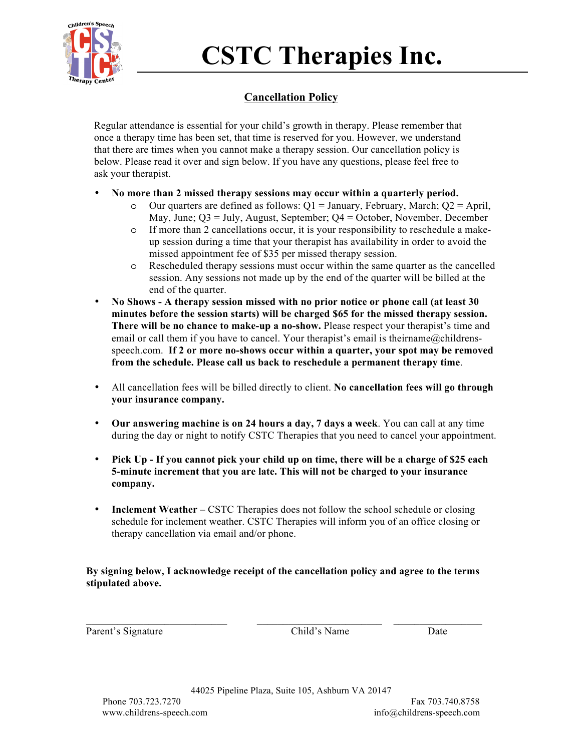

### **Cancellation Policy**

Regular attendance is essential for your child's growth in therapy. Please remember that once a therapy time has been set, that time is reserved for you. However, we understand that there are times when you cannot make a therapy session. Our cancellation policy is below. Please read it over and sign below. If you have any questions, please feel free to ask your therapist.

- **No more than 2 missed therapy sessions may occur within a quarterly period.** 
	- $\circ$  Our quarters are defined as follows: Q1 = January, February, March; Q2 = April, May, June; Q3 = July, August, September; Q4 = October, November, December
	- o If more than 2 cancellations occur, it is your responsibility to reschedule a makeup session during a time that your therapist has availability in order to avoid the missed appointment fee of \$35 per missed therapy session.
	- o Rescheduled therapy sessions must occur within the same quarter as the cancelled session. Any sessions not made up by the end of the quarter will be billed at the end of the quarter.
- **No Shows A therapy session missed with no prior notice or phone call (at least 30 minutes before the session starts) will be charged \$65 for the missed therapy session. There will be no chance to make-up a no-show.** Please respect your therapist's time and email or call them if you have to cancel. Your therapist's email is their name  $@$  childrensspeech.com. **If 2 or more no-shows occur within a quarter, your spot may be removed from the schedule. Please call us back to reschedule a permanent therapy time**.
- All cancellation fees will be billed directly to client. **No cancellation fees will go through your insurance company.**
- **Our answering machine is on 24 hours a day, 7 days a week**. You can call at any time during the day or night to notify CSTC Therapies that you need to cancel your appointment.
- **Pick Up If you cannot pick your child up on time, there will be a charge of \$25 each 5-minute increment that you are late. This will not be charged to your insurance company.**
- **Inclement Weather** CSTC Therapies does not follow the school schedule or closing schedule for inclement weather. CSTC Therapies will inform you of an office closing or therapy cancellation via email and/or phone.

### **By signing below, I acknowledge receipt of the cancellation policy and agree to the terms stipulated above.**

**\_\_\_\_\_\_\_\_\_\_\_\_\_\_\_\_\_\_\_\_\_\_\_\_\_\_\_ \_\_\_\_\_\_\_\_\_\_\_\_\_\_\_\_\_\_\_\_\_\_\_\_ \_\_\_\_\_\_\_\_\_\_\_\_\_\_\_\_\_**

Parent's Signature Child's Name Date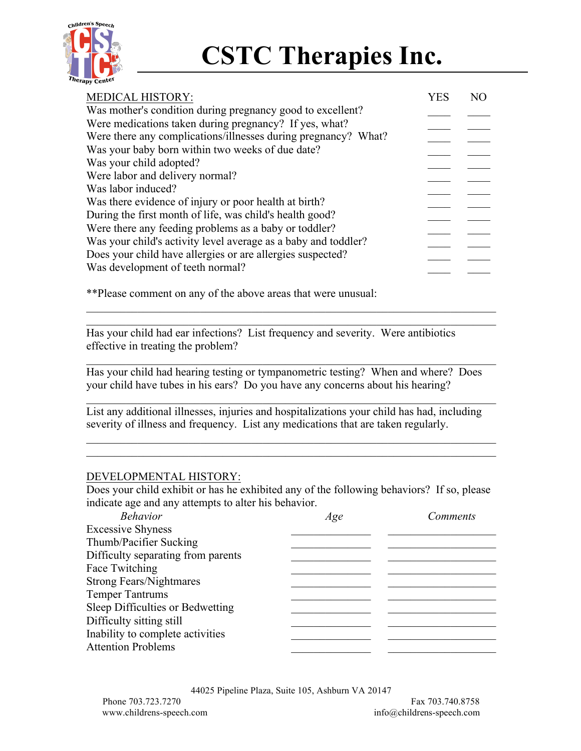

| <b>MEDICAL HISTORY:</b>                                        | YES | NO |
|----------------------------------------------------------------|-----|----|
| Was mother's condition during pregnancy good to excellent?     |     |    |
| Were medications taken during pregnancy? If yes, what?         |     |    |
| Were there any complications/illnesses during pregnancy? What? |     |    |
| Was your baby born within two weeks of due date?               |     |    |
| Was your child adopted?                                        |     |    |
| Were labor and delivery normal?                                |     |    |
| Was labor induced?                                             |     |    |
| Was there evidence of injury or poor health at birth?          |     |    |
| During the first month of life, was child's health good?       |     |    |
| Were there any feeding problems as a baby or toddler?          |     |    |
| Was your child's activity level average as a baby and toddler? |     |    |
| Does your child have allergies or are allergies suspected?     |     |    |
| Was development of teeth normal?                               |     |    |
|                                                                |     |    |

\*\*Please comment on any of the above areas that were unusual:

Has your child had ear infections? List frequency and severity. Were antibiotics effective in treating the problem?

Has your child had hearing testing or tympanometric testing? When and where? Does your child have tubes in his ears? Do you have any concerns about his hearing?

 $\mathcal{L}_\mathcal{L} = \{ \mathcal{L}_\mathcal{L} = \{ \mathcal{L}_\mathcal{L} = \{ \mathcal{L}_\mathcal{L} = \{ \mathcal{L}_\mathcal{L} = \{ \mathcal{L}_\mathcal{L} = \{ \mathcal{L}_\mathcal{L} = \{ \mathcal{L}_\mathcal{L} = \{ \mathcal{L}_\mathcal{L} = \{ \mathcal{L}_\mathcal{L} = \{ \mathcal{L}_\mathcal{L} = \{ \mathcal{L}_\mathcal{L} = \{ \mathcal{L}_\mathcal{L} = \{ \mathcal{L}_\mathcal{L} = \{ \mathcal{L}_\mathcal{$ 

 $\mathcal{L}_\mathcal{L} = \{ \mathcal{L}_\mathcal{L} = \{ \mathcal{L}_\mathcal{L} = \{ \mathcal{L}_\mathcal{L} = \{ \mathcal{L}_\mathcal{L} = \{ \mathcal{L}_\mathcal{L} = \{ \mathcal{L}_\mathcal{L} = \{ \mathcal{L}_\mathcal{L} = \{ \mathcal{L}_\mathcal{L} = \{ \mathcal{L}_\mathcal{L} = \{ \mathcal{L}_\mathcal{L} = \{ \mathcal{L}_\mathcal{L} = \{ \mathcal{L}_\mathcal{L} = \{ \mathcal{L}_\mathcal{L} = \{ \mathcal{L}_\mathcal{$ 

 $\mathcal{L}_\mathcal{L} = \{ \mathcal{L}_\mathcal{L} = \{ \mathcal{L}_\mathcal{L} = \{ \mathcal{L}_\mathcal{L} = \{ \mathcal{L}_\mathcal{L} = \{ \mathcal{L}_\mathcal{L} = \{ \mathcal{L}_\mathcal{L} = \{ \mathcal{L}_\mathcal{L} = \{ \mathcal{L}_\mathcal{L} = \{ \mathcal{L}_\mathcal{L} = \{ \mathcal{L}_\mathcal{L} = \{ \mathcal{L}_\mathcal{L} = \{ \mathcal{L}_\mathcal{L} = \{ \mathcal{L}_\mathcal{L} = \{ \mathcal{L}_\mathcal{$  $\mathcal{L}_\mathcal{L} = \{ \mathcal{L}_\mathcal{L} = \{ \mathcal{L}_\mathcal{L} = \{ \mathcal{L}_\mathcal{L} = \{ \mathcal{L}_\mathcal{L} = \{ \mathcal{L}_\mathcal{L} = \{ \mathcal{L}_\mathcal{L} = \{ \mathcal{L}_\mathcal{L} = \{ \mathcal{L}_\mathcal{L} = \{ \mathcal{L}_\mathcal{L} = \{ \mathcal{L}_\mathcal{L} = \{ \mathcal{L}_\mathcal{L} = \{ \mathcal{L}_\mathcal{L} = \{ \mathcal{L}_\mathcal{L} = \{ \mathcal{L}_\mathcal{$ 

 $\mathcal{L}_\mathcal{L} = \{ \mathcal{L}_\mathcal{L} = \{ \mathcal{L}_\mathcal{L} = \{ \mathcal{L}_\mathcal{L} = \{ \mathcal{L}_\mathcal{L} = \{ \mathcal{L}_\mathcal{L} = \{ \mathcal{L}_\mathcal{L} = \{ \mathcal{L}_\mathcal{L} = \{ \mathcal{L}_\mathcal{L} = \{ \mathcal{L}_\mathcal{L} = \{ \mathcal{L}_\mathcal{L} = \{ \mathcal{L}_\mathcal{L} = \{ \mathcal{L}_\mathcal{L} = \{ \mathcal{L}_\mathcal{L} = \{ \mathcal{L}_\mathcal{$  $\mathcal{L}_\mathcal{L} = \{ \mathcal{L}_\mathcal{L} = \{ \mathcal{L}_\mathcal{L} = \{ \mathcal{L}_\mathcal{L} = \{ \mathcal{L}_\mathcal{L} = \{ \mathcal{L}_\mathcal{L} = \{ \mathcal{L}_\mathcal{L} = \{ \mathcal{L}_\mathcal{L} = \{ \mathcal{L}_\mathcal{L} = \{ \mathcal{L}_\mathcal{L} = \{ \mathcal{L}_\mathcal{L} = \{ \mathcal{L}_\mathcal{L} = \{ \mathcal{L}_\mathcal{L} = \{ \mathcal{L}_\mathcal{L} = \{ \mathcal{L}_\mathcal{$ 

List any additional illnesses, injuries and hospitalizations your child has had, including severity of illness and frequency. List any medications that are taken regularly.

### DEVELOPMENTAL HISTORY:

Does your child exhibit or has he exhibited any of the following behaviors? If so, please indicate age and any attempts to alter his behavior.

| <b>Behavior</b>                    | Age | Comments |
|------------------------------------|-----|----------|
| <b>Excessive Shyness</b>           |     |          |
| Thumb/Pacifier Sucking             |     |          |
| Difficulty separating from parents |     |          |
| Face Twitching                     |     |          |
| <b>Strong Fears/Nightmares</b>     |     |          |
| <b>Temper Tantrums</b>             |     |          |
| Sleep Difficulties or Bedwetting   |     |          |
| Difficulty sitting still           |     |          |
| Inability to complete activities   |     |          |
| <b>Attention Problems</b>          |     |          |
|                                    |     |          |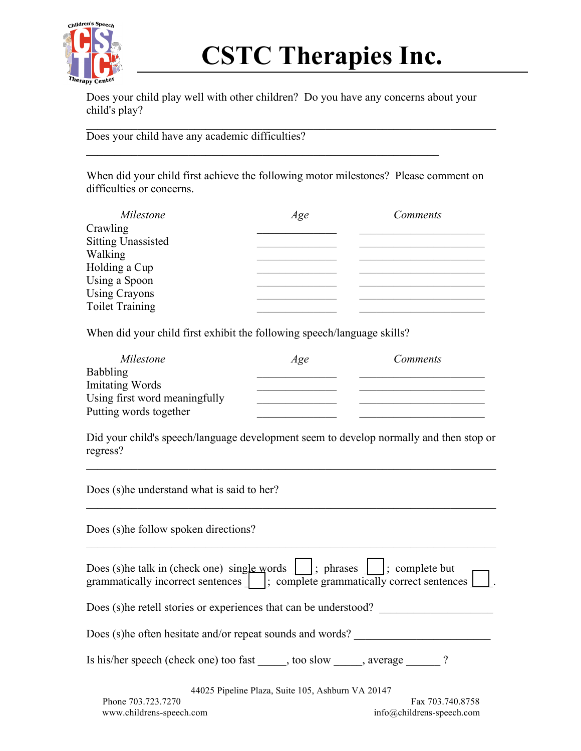

Does your child play well with other children? Do you have any concerns about your child's play?

 $\mathcal{L}_\text{max}$  , and the contribution of the contribution of the contribution of the contribution of the contribution of the contribution of the contribution of the contribution of the contribution of the contribution of t

 $\mathcal{L}_\text{max} = \mathcal{L}_\text{max} = \mathcal{L}_\text{max} = \mathcal{L}_\text{max} = \mathcal{L}_\text{max} = \mathcal{L}_\text{max} = \mathcal{L}_\text{max} = \mathcal{L}_\text{max} = \mathcal{L}_\text{max} = \mathcal{L}_\text{max} = \mathcal{L}_\text{max} = \mathcal{L}_\text{max} = \mathcal{L}_\text{max} = \mathcal{L}_\text{max} = \mathcal{L}_\text{max} = \mathcal{L}_\text{max} = \mathcal{L}_\text{max} = \mathcal{L}_\text{max} = \mathcal{$ 

Does your child have any academic difficulties?

When did your child first achieve the following motor milestones? Please comment on difficulties or concerns.

| Milestone                 | Age | Comments |
|---------------------------|-----|----------|
| Crawling                  |     |          |
| <b>Sitting Unassisted</b> |     |          |
| Walking                   |     |          |
| Holding a Cup             |     |          |
| Using a Spoon             |     |          |
| <b>Using Crayons</b>      |     |          |
| <b>Toilet Training</b>    |     |          |

When did your child first exhibit the following speech/language skills?

| Milestone                     | Age | Comments |
|-------------------------------|-----|----------|
| <b>Babbling</b>               |     |          |
| <b>Imitating Words</b>        |     |          |
| Using first word meaningfully |     |          |
| Putting words together        |     |          |

Did your child's speech/language development seem to develop normally and then stop or regress?

44025 Pipeline Plaza, Suite 105, Ashburn VA 20147  $\mathcal{L}_\text{max} = \mathcal{L}_\text{max} = \mathcal{L}_\text{max} = \mathcal{L}_\text{max} = \mathcal{L}_\text{max} = \mathcal{L}_\text{max} = \mathcal{L}_\text{max} = \mathcal{L}_\text{max} = \mathcal{L}_\text{max} = \mathcal{L}_\text{max} = \mathcal{L}_\text{max} = \mathcal{L}_\text{max} = \mathcal{L}_\text{max} = \mathcal{L}_\text{max} = \mathcal{L}_\text{max} = \mathcal{L}_\text{max} = \mathcal{L}_\text{max} = \mathcal{L}_\text{max} = \mathcal{$ Does (s)he understand what is said to her?  $\mathcal{L}_\text{max} = \mathcal{L}_\text{max} = \mathcal{L}_\text{max} = \mathcal{L}_\text{max} = \mathcal{L}_\text{max} = \mathcal{L}_\text{max} = \mathcal{L}_\text{max} = \mathcal{L}_\text{max} = \mathcal{L}_\text{max} = \mathcal{L}_\text{max} = \mathcal{L}_\text{max} = \mathcal{L}_\text{max} = \mathcal{L}_\text{max} = \mathcal{L}_\text{max} = \mathcal{L}_\text{max} = \mathcal{L}_\text{max} = \mathcal{L}_\text{max} = \mathcal{L}_\text{max} = \mathcal{$ Does (s)he follow spoken directions?  $\mathcal{L}_\mathcal{L} = \{ \mathcal{L}_\mathcal{L} = \{ \mathcal{L}_\mathcal{L} = \{ \mathcal{L}_\mathcal{L} = \{ \mathcal{L}_\mathcal{L} = \{ \mathcal{L}_\mathcal{L} = \{ \mathcal{L}_\mathcal{L} = \{ \mathcal{L}_\mathcal{L} = \{ \mathcal{L}_\mathcal{L} = \{ \mathcal{L}_\mathcal{L} = \{ \mathcal{L}_\mathcal{L} = \{ \mathcal{L}_\mathcal{L} = \{ \mathcal{L}_\mathcal{L} = \{ \mathcal{L}_\mathcal{L} = \{ \mathcal{L}_\mathcal{$ Does (s)he talk in (check one) single words  $\vert \vert$ ; phrases  $\vert \vert$ ; complete but grammatically incorrect sentences  $\begin{bmatrix} \cdot & \cdot & \cdot \\ \cdot & \cdot & \cdot \\ \cdot & \cdot & \cdot \\ \cdot & \cdot & \cdot \end{bmatrix}$ ; complete grammatically correct sentences  $\begin{bmatrix} \cdot & \cdot & \cdot \\ \cdot & \cdot & \cdot \\ \cdot & \cdot & \cdot \end{bmatrix}$ Does (s)he retell stories or experiences that can be understood? Does (s)he often hesitate and/or repeat sounds and words? Is his/her speech (check one) too fast \_\_\_\_\_, too slow \_\_\_\_\_, average \_\_\_\_\_\_?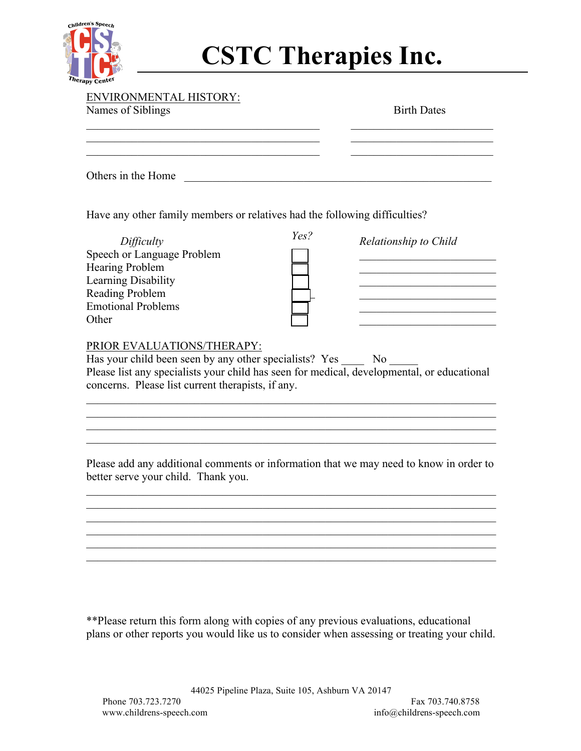

| <b>ENVIRONMENTAL HISTORY:</b><br>Names of Siblings | <b>Birth Dates</b> |
|----------------------------------------------------|--------------------|
|                                                    |                    |
| Others in the Home                                 |                    |

Have any other family members or relatives had the following difficulties?

| Yes? |  |
|------|--|
|      |  |
|      |  |
|      |  |
|      |  |
|      |  |
|      |  |

| Difficulty                 | Yes? | Relationship to Child |
|----------------------------|------|-----------------------|
| Speech or Language Problem |      |                       |
| <b>Hearing Problem</b>     |      |                       |
| Learning Disability        |      |                       |
| <b>Reading Problem</b>     |      |                       |
| <b>Emotional Problems</b>  |      |                       |
| Other                      |      |                       |
|                            |      |                       |

### PRIOR EVALUATIONS/THERAPY:

Has your child been seen by any other specialists? Yes No Please list any specialists your child has seen for medical, developmental, or educational concerns. Please list current therapists, if any.

 $\mathcal{L}_\mathcal{L} = \{ \mathcal{L}_\mathcal{L} = \{ \mathcal{L}_\mathcal{L} = \{ \mathcal{L}_\mathcal{L} = \{ \mathcal{L}_\mathcal{L} = \{ \mathcal{L}_\mathcal{L} = \{ \mathcal{L}_\mathcal{L} = \{ \mathcal{L}_\mathcal{L} = \{ \mathcal{L}_\mathcal{L} = \{ \mathcal{L}_\mathcal{L} = \{ \mathcal{L}_\mathcal{L} = \{ \mathcal{L}_\mathcal{L} = \{ \mathcal{L}_\mathcal{L} = \{ \mathcal{L}_\mathcal{L} = \{ \mathcal{L}_\mathcal{$  $\mathcal{L}_\mathcal{L} = \{ \mathcal{L}_\mathcal{L} = \{ \mathcal{L}_\mathcal{L} = \{ \mathcal{L}_\mathcal{L} = \{ \mathcal{L}_\mathcal{L} = \{ \mathcal{L}_\mathcal{L} = \{ \mathcal{L}_\mathcal{L} = \{ \mathcal{L}_\mathcal{L} = \{ \mathcal{L}_\mathcal{L} = \{ \mathcal{L}_\mathcal{L} = \{ \mathcal{L}_\mathcal{L} = \{ \mathcal{L}_\mathcal{L} = \{ \mathcal{L}_\mathcal{L} = \{ \mathcal{L}_\mathcal{L} = \{ \mathcal{L}_\mathcal{$  $\mathcal{L}_\mathcal{L} = \{ \mathcal{L}_\mathcal{L} = \{ \mathcal{L}_\mathcal{L} = \{ \mathcal{L}_\mathcal{L} = \{ \mathcal{L}_\mathcal{L} = \{ \mathcal{L}_\mathcal{L} = \{ \mathcal{L}_\mathcal{L} = \{ \mathcal{L}_\mathcal{L} = \{ \mathcal{L}_\mathcal{L} = \{ \mathcal{L}_\mathcal{L} = \{ \mathcal{L}_\mathcal{L} = \{ \mathcal{L}_\mathcal{L} = \{ \mathcal{L}_\mathcal{L} = \{ \mathcal{L}_\mathcal{L} = \{ \mathcal{L}_\mathcal{$  $\mathcal{L}_\mathcal{L} = \{ \mathcal{L}_\mathcal{L} = \{ \mathcal{L}_\mathcal{L} = \{ \mathcal{L}_\mathcal{L} = \{ \mathcal{L}_\mathcal{L} = \{ \mathcal{L}_\mathcal{L} = \{ \mathcal{L}_\mathcal{L} = \{ \mathcal{L}_\mathcal{L} = \{ \mathcal{L}_\mathcal{L} = \{ \mathcal{L}_\mathcal{L} = \{ \mathcal{L}_\mathcal{L} = \{ \mathcal{L}_\mathcal{L} = \{ \mathcal{L}_\mathcal{L} = \{ \mathcal{L}_\mathcal{L} = \{ \mathcal{L}_\mathcal{$ 

Please add any additional comments or information that we may need to know in order to better serve your child. Thank you.

 $\mathcal{L}_\mathcal{L} = \{ \mathcal{L}_\mathcal{L} = \{ \mathcal{L}_\mathcal{L} = \{ \mathcal{L}_\mathcal{L} = \{ \mathcal{L}_\mathcal{L} = \{ \mathcal{L}_\mathcal{L} = \{ \mathcal{L}_\mathcal{L} = \{ \mathcal{L}_\mathcal{L} = \{ \mathcal{L}_\mathcal{L} = \{ \mathcal{L}_\mathcal{L} = \{ \mathcal{L}_\mathcal{L} = \{ \mathcal{L}_\mathcal{L} = \{ \mathcal{L}_\mathcal{L} = \{ \mathcal{L}_\mathcal{L} = \{ \mathcal{L}_\mathcal{$  $\mathcal{L}_\text{max} = \mathcal{L}_\text{max} = \mathcal{L}_\text{max} = \mathcal{L}_\text{max} = \mathcal{L}_\text{max} = \mathcal{L}_\text{max} = \mathcal{L}_\text{max} = \mathcal{L}_\text{max} = \mathcal{L}_\text{max} = \mathcal{L}_\text{max} = \mathcal{L}_\text{max} = \mathcal{L}_\text{max} = \mathcal{L}_\text{max} = \mathcal{L}_\text{max} = \mathcal{L}_\text{max} = \mathcal{L}_\text{max} = \mathcal{L}_\text{max} = \mathcal{L}_\text{max} = \mathcal{$  $\mathcal{L}_\text{max} = \mathcal{L}_\text{max} = \mathcal{L}_\text{max} = \mathcal{L}_\text{max} = \mathcal{L}_\text{max} = \mathcal{L}_\text{max} = \mathcal{L}_\text{max} = \mathcal{L}_\text{max} = \mathcal{L}_\text{max} = \mathcal{L}_\text{max} = \mathcal{L}_\text{max} = \mathcal{L}_\text{max} = \mathcal{L}_\text{max} = \mathcal{L}_\text{max} = \mathcal{L}_\text{max} = \mathcal{L}_\text{max} = \mathcal{L}_\text{max} = \mathcal{L}_\text{max} = \mathcal{$ 

 $\mathcal{L}_\mathcal{L} = \{ \mathcal{L}_\mathcal{L} = \{ \mathcal{L}_\mathcal{L} = \{ \mathcal{L}_\mathcal{L} = \{ \mathcal{L}_\mathcal{L} = \{ \mathcal{L}_\mathcal{L} = \{ \mathcal{L}_\mathcal{L} = \{ \mathcal{L}_\mathcal{L} = \{ \mathcal{L}_\mathcal{L} = \{ \mathcal{L}_\mathcal{L} = \{ \mathcal{L}_\mathcal{L} = \{ \mathcal{L}_\mathcal{L} = \{ \mathcal{L}_\mathcal{L} = \{ \mathcal{L}_\mathcal{L} = \{ \mathcal{L}_\mathcal{$  $\mathcal{L}_\mathcal{L} = \{ \mathcal{L}_\mathcal{L} = \{ \mathcal{L}_\mathcal{L} = \{ \mathcal{L}_\mathcal{L} = \{ \mathcal{L}_\mathcal{L} = \{ \mathcal{L}_\mathcal{L} = \{ \mathcal{L}_\mathcal{L} = \{ \mathcal{L}_\mathcal{L} = \{ \mathcal{L}_\mathcal{L} = \{ \mathcal{L}_\mathcal{L} = \{ \mathcal{L}_\mathcal{L} = \{ \mathcal{L}_\mathcal{L} = \{ \mathcal{L}_\mathcal{L} = \{ \mathcal{L}_\mathcal{L} = \{ \mathcal{L}_\mathcal{$ 

\*\*Please return this form along with copies of any previous evaluations, educational plans or other reports you would like us to consider when assessing or treating your child.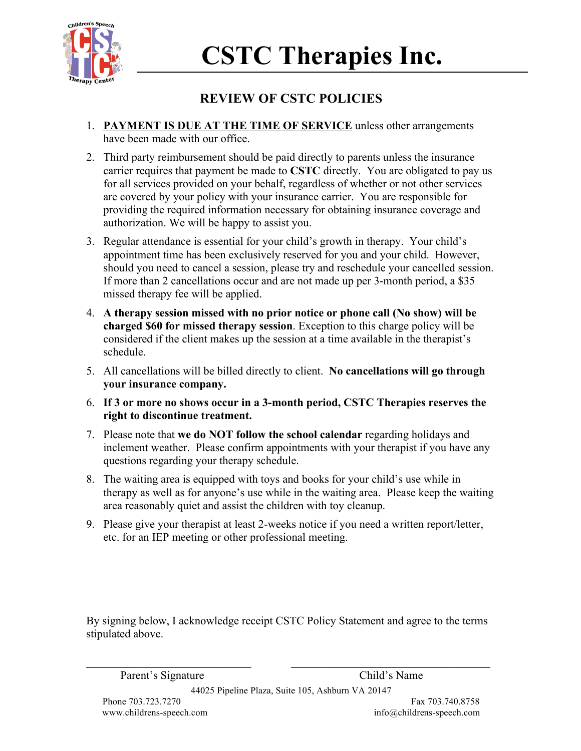

## **REVIEW OF CSTC POLICIES**

- 1. **PAYMENT IS DUE AT THE TIME OF SERVICE** unless other arrangements have been made with our office.
- 2. Third party reimbursement should be paid directly to parents unless the insurance carrier requires that payment be made to **CSTC** directly. You are obligated to pay us for all services provided on your behalf, regardless of whether or not other services are covered by your policy with your insurance carrier. You are responsible for providing the required information necessary for obtaining insurance coverage and authorization. We will be happy to assist you.
- 3. Regular attendance is essential for your child's growth in therapy. Your child's appointment time has been exclusively reserved for you and your child. However, should you need to cancel a session, please try and reschedule your cancelled session. If more than 2 cancellations occur and are not made up per 3-month period, a \$35 missed therapy fee will be applied.
- 4. **A therapy session missed with no prior notice or phone call (No show) will be charged \$60 for missed therapy session**. Exception to this charge policy will be considered if the client makes up the session at a time available in the therapist's schedule.
- 5. All cancellations will be billed directly to client. **No cancellations will go through your insurance company.**
- 6. **If 3 or more no shows occur in a 3-month period, CSTC Therapies reserves the right to discontinue treatment.**
- 7. Please note that **we do NOT follow the school calendar** regarding holidays and inclement weather. Please confirm appointments with your therapist if you have any questions regarding your therapy schedule.
- 8. The waiting area is equipped with toys and books for your child's use while in therapy as well as for anyone's use while in the waiting area. Please keep the waiting area reasonably quiet and assist the children with toy cleanup.
- 9. Please give your therapist at least 2-weeks notice if you need a written report/letter, etc. for an IEP meeting or other professional meeting.

By signing below, I acknowledge receipt CSTC Policy Statement and agree to the terms stipulated above.

Parent's Signature Child's Name

44025 Pipeline Plaza, Suite 105, Ashburn VA 20147

 $\mathcal{L}_\text{max} = \mathcal{L}_\text{max} = \mathcal{L}_\text{max} = \mathcal{L}_\text{max} = \mathcal{L}_\text{max} = \mathcal{L}_\text{max} = \mathcal{L}_\text{max} = \mathcal{L}_\text{max} = \mathcal{L}_\text{max} = \mathcal{L}_\text{max} = \mathcal{L}_\text{max} = \mathcal{L}_\text{max} = \mathcal{L}_\text{max} = \mathcal{L}_\text{max} = \mathcal{L}_\text{max} = \mathcal{L}_\text{max} = \mathcal{L}_\text{max} = \mathcal{L}_\text{max} = \mathcal{$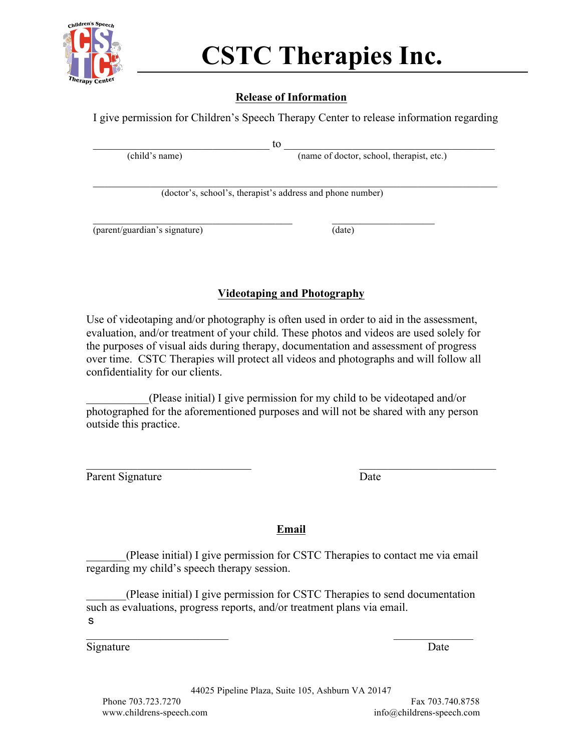

### **Release of Information**

I give permission for Children's Speech Therapy Center to release information regarding

 $\_$  to  $\_$ (child's name) (name of doctor, school, therapist, etc.)

 $\mathcal{L}_\text{max} = \mathcal{L}_\text{max} = \mathcal{L}_\text{max} = \mathcal{L}_\text{max} = \mathcal{L}_\text{max} = \mathcal{L}_\text{max} = \mathcal{L}_\text{max} = \mathcal{L}_\text{max} = \mathcal{L}_\text{max} = \mathcal{L}_\text{max} = \mathcal{L}_\text{max} = \mathcal{L}_\text{max} = \mathcal{L}_\text{max} = \mathcal{L}_\text{max} = \mathcal{L}_\text{max} = \mathcal{L}_\text{max} = \mathcal{L}_\text{max} = \mathcal{L}_\text{max} = \mathcal{$ 

(doctor's, school's, therapist's address and phone number)

 $\_$  , and the set of the set of the set of the set of the set of the set of the set of the set of the set of the set of the set of the set of the set of the set of the set of the set of the set of the set of the set of th

(parent/guardian's signature) (date)

### **Videotaping and Photography**

Use of videotaping and/or photography is often used in order to aid in the assessment, evaluation, and/or treatment of your child. These photos and videos are used solely for the purposes of visual aids during therapy, documentation and assessment of progress over time. CSTC Therapies will protect all videos and photographs and will follow all confidentiality for our clients.

\_\_\_\_\_\_\_\_\_\_\_(Please initial) I give permission for my child to be videotaped and/or photographed for the aforementioned purposes and will not be shared with any person outside this practice.

Parent Signature Date

 $\mathcal{L}_\text{max}$  and the contract of the contract of the contract of the contract of the contract of the contract of

**Email** 

\_\_\_\_\_\_\_(Please initial) I give permission for CSTC Therapies to contact me via email regarding my child's speech therapy session.

\_\_\_\_\_\_\_(Please initial) I give permission for CSTC Therapies to send documentation such as evaluations, progress reports, and/or treatment plans via email. s

 $\mathcal{L}_\text{max}$  and  $\mathcal{L}_\text{max}$  and  $\mathcal{L}_\text{max}$  and  $\mathcal{L}_\text{max}$  and  $\mathcal{L}_\text{max}$ Signature Date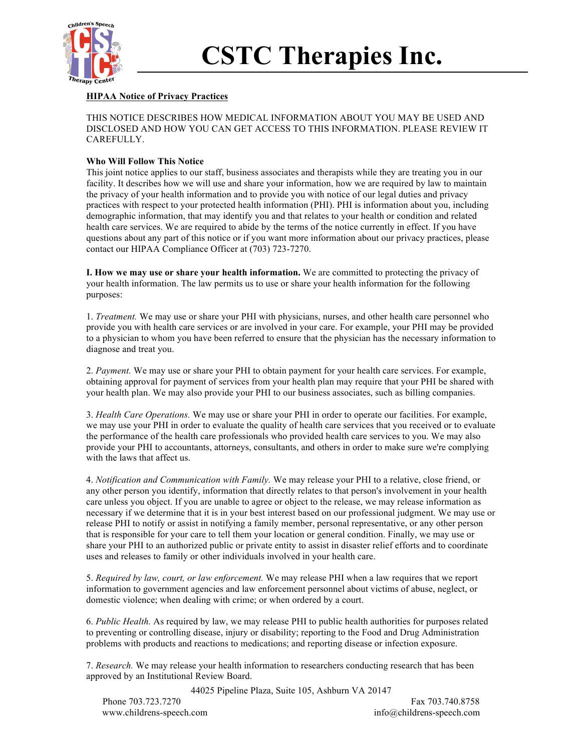

### **HIPAA Notice of Privacy Practices**

THIS NOTICE DESCRIBES HOW MEDICAL INFORMATION ABOUT YOU MAY BE USED AND DISCLOSED AND HOW YOU CAN GET ACCESS TO THIS INFORMATION. PLEASE REVIEW IT CAREFULLY.

#### **Who Will Follow This Notice**

This joint notice applies to our staff, business associates and therapists while they are treating you in our facility. It describes how we will use and share your information, how we are required by law to maintain the privacy of your health information and to provide you with notice of our legal duties and privacy practices with respect to your protected health information (PHI). PHI is information about you, including demographic information, that may identify you and that relates to your health or condition and related health care services. We are required to abide by the terms of the notice currently in effect. If you have questions about any part of this notice or if you want more information about our privacy practices, please contact our HIPAA Compliance Officer at (703) 723-7270.

**I. How we may use or share your health information.** We are committed to protecting the privacy of your health information. The law permits us to use or share your health information for the following purposes:

1. *Treatment.* We may use or share your PHI with physicians, nurses, and other health care personnel who provide you with health care services or are involved in your care. For example, your PHI may be provided to a physician to whom you have been referred to ensure that the physician has the necessary information to diagnose and treat you.

2. *Payment.* We may use or share your PHI to obtain payment for your health care services. For example, obtaining approval for payment of services from your health plan may require that your PHI be shared with your health plan. We may also provide your PHI to our business associates, such as billing companies.

3. *Health Care Operations.* We may use or share your PHI in order to operate our facilities. For example, we may use your PHI in order to evaluate the quality of health care services that you received or to evaluate the performance of the health care professionals who provided health care services to you. We may also provide your PHI to accountants, attorneys, consultants, and others in order to make sure we're complying with the laws that affect us.

4. *Notification and Communication with Family.* We may release your PHI to a relative, close friend, or any other person you identify, information that directly relates to that person's involvement in your health care unless you object. If you are unable to agree or object to the release, we may release information as necessary if we determine that it is in your best interest based on our professional judgment. We may use or release PHI to notify or assist in notifying a family member, personal representative, or any other person that is responsible for your care to tell them your location or general condition. Finally, we may use or share your PHI to an authorized public or private entity to assist in disaster relief efforts and to coordinate uses and releases to family or other individuals involved in your health care.

5. *Required by law, court, or law enforcement.* We may release PHI when a law requires that we report information to government agencies and law enforcement personnel about victims of abuse, neglect, or domestic violence; when dealing with crime; or when ordered by a court.

6. *Public Health.* As required by law, we may release PHI to public health authorities for purposes related to preventing or controlling disease, injury or disability; reporting to the Food and Drug Administration problems with products and reactions to medications; and reporting disease or infection exposure.

7. *Research.* We may release your health information to researchers conducting research that has been approved by an Institutional Review Board.